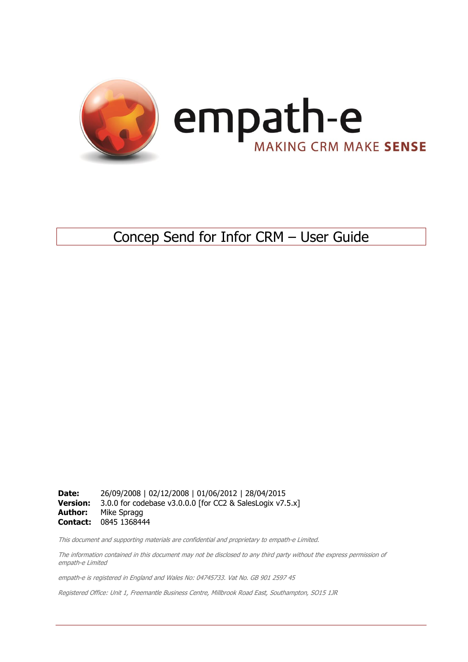

### Concep Send for Infor CRM – User Guide

**Date:** 26/09/2008 | 02/12/2008 | 01/06/2012 | 28/04/2015<br>**Version:** 3.0.0 for codebase v3.0.0.0 [for CC2 & SalesLogix v7. 3.0.0 for codebase v3.0.0.0 [for CC2 & SalesLogix v7.5.x] **Author:** Mike Spragg **Contact:** 0845 1368444

This document and supporting materials are confidential and proprietary to empath-e Limited.

The information contained in this document may not be disclosed to any third party without the express permission of empath-e Limited

empath-e is registered in England and Wales No: 04745733. Vat No. GB 901 2597 45

Registered Office: Unit 1, Freemantle Business Centre, Millbrook Road East, Southampton, SO15 1JR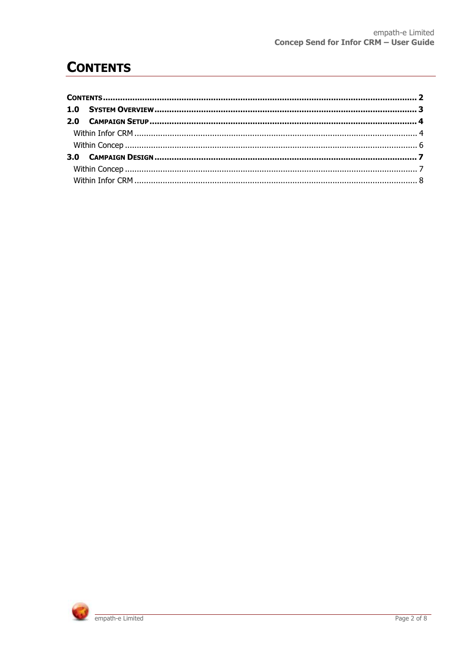### <span id="page-1-0"></span>**CONTENTS**

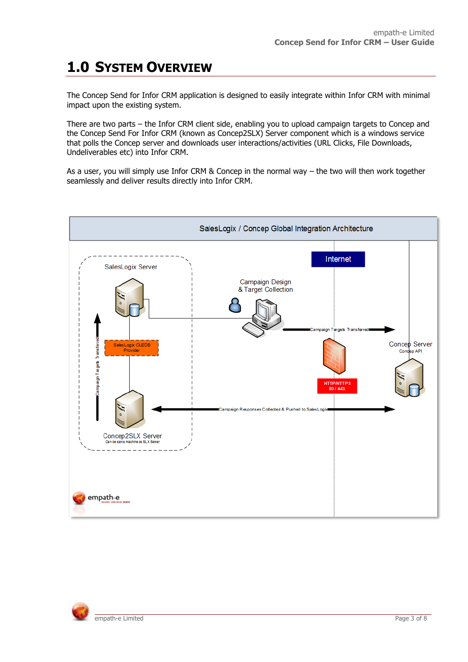# <span id="page-2-0"></span>**1.0 SYSTEM OVERVIEW**

The Concep Send for Infor CRM application is designed to easily integrate within Infor CRM with minimal impact upon the existing system.

There are two parts – the Infor CRM client side, enabling you to upload campaign targets to Concep and the Concep Send For Infor CRM (known as Concep2SLX) Server component which is a windows service that polls the Concep server and downloads user interactions/activities (URL Clicks, File Downloads, Undeliverables etc) into Infor CRM.

As a user, you will simply use Infor CRM & Concep in the normal way – the two will then work together seamlessly and deliver results directly into Infor CRM.



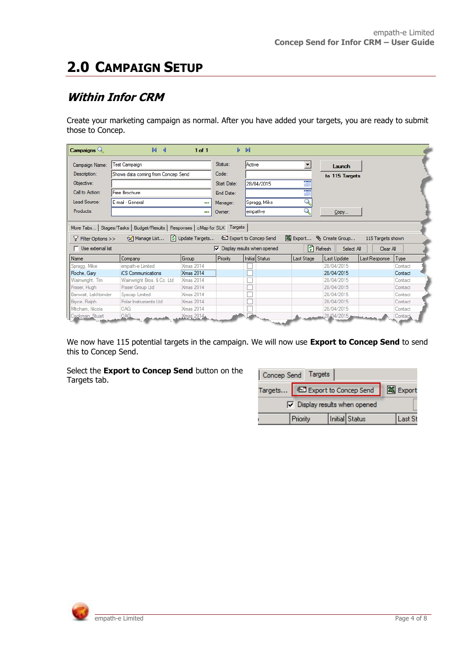# <span id="page-3-0"></span>**2.0 CAMPAIGN SETUP**

#### <span id="page-3-1"></span>**Within Infor CRM**

Create your marketing campaign as normal. After you have added your targets, you are ready to submit those to Concep.

| Campaigns $Q_0$                                                                                                                                                                                                                                                                                                                                       | $M \triangleleft$                  | $1$ of $1$       |                 | $\triangleright$ $\triangleright$ 1 |               |                |               |         |
|-------------------------------------------------------------------------------------------------------------------------------------------------------------------------------------------------------------------------------------------------------------------------------------------------------------------------------------------------------|------------------------------------|------------------|-----------------|-------------------------------------|---------------|----------------|---------------|---------|
| Campaign Name:                                                                                                                                                                                                                                                                                                                                        | <b>Test Campaign</b>               |                  | Status:         | Active                              |               | Launch         |               |         |
| Description:                                                                                                                                                                                                                                                                                                                                          | Shows data coming from Concep Send |                  | Code:           |                                     |               | to 115 Targets |               |         |
| Objective:                                                                                                                                                                                                                                                                                                                                            |                                    |                  | Start Date:     | 28/04/2015                          |               |                |               |         |
| Call to Action:                                                                                                                                                                                                                                                                                                                                       | Free Brochure                      |                  | End Date:       |                                     |               |                |               |         |
| Lead Source:                                                                                                                                                                                                                                                                                                                                          |                                    |                  |                 |                                     |               |                |               |         |
|                                                                                                                                                                                                                                                                                                                                                       | E-mail - General                   | --               | Manager:        | Spragg, Mike                        |               |                |               |         |
| Products:                                                                                                                                                                                                                                                                                                                                             |                                    | --               | Owner:          | empath-e                            | $\mathcal{L}$ | Copy           |               |         |
| More Tabs   Stages/Tasks   Budget/Results   Responses   cMap for SLX   Targets<br>☆ Manage List   ↓ Update Targets   □ Export to Concep Send<br>图 Export He Create Group<br>115 Targets shown<br>$\nabla$ Filter Options $\gg$<br><sup>1</sup> Refresh<br>$\Box$ Use external list<br>$\nabla$ Display results when opened<br>Select All<br>Clear All |                                    |                  |                 |                                     |               |                |               |         |
|                                                                                                                                                                                                                                                                                                                                                       |                                    |                  |                 |                                     |               |                |               |         |
| Name                                                                                                                                                                                                                                                                                                                                                  | Company                            | Group            | <b>Priority</b> | Initial Status                      | Last Stage    | Last Update    | Last Response | Type    |
| Spragg, Mike                                                                                                                                                                                                                                                                                                                                          | empath-e Limited                   | <b>Xmas 2014</b> |                 |                                     |               | 28/04/2015     |               | Contact |
| Roche, Gary                                                                                                                                                                                                                                                                                                                                           | <b>iCS</b> Communications          | <b>Xmas 2014</b> |                 |                                     |               | 28/04/2015     |               | Contact |
| Wainwright, Tim                                                                                                                                                                                                                                                                                                                                       | Wainwright Bros. & Co. Ltd.        | <b>Xmas 2014</b> |                 |                                     |               | 28/04/2015     |               | Contact |
| Fraser, Hugh                                                                                                                                                                                                                                                                                                                                          | Fraser Group Ltd                   | <b>Xmas 2014</b> |                 |                                     |               | 28/04/2015     |               | Contact |
| Banwait, Lakhbinder                                                                                                                                                                                                                                                                                                                                   | <b>Syscap Limited</b>              | <b>Xmas 2014</b> |                 |                                     |               | 28/04/2015     |               | Contact |
| Bryce, Ralph                                                                                                                                                                                                                                                                                                                                          | Polar Instruments Ltd              | <b>Xmas 2014</b> |                 |                                     |               | 28/04/2015     |               | Contact |
| Mitcham, Nicola                                                                                                                                                                                                                                                                                                                                       | <b>OAG</b>                         | <b>Xmas 2014</b> |                 | GAL.                                |               | 28/04/2015     |               | Contact |

We now have 115 potential targets in the campaign. We will now use **Export to Concep Send** to send this to Concep Send.

Select the **Export to Concep Send** button on the Targets tab.

| Concep Send Targets                        |          |  |                |         |
|--------------------------------------------|----------|--|----------------|---------|
| Targets 3 Export to Concep Send   8 Export |          |  |                |         |
| $\nabla$ Display results when opened       |          |  |                |         |
|                                            | Priority |  | Initial Status | Last St |

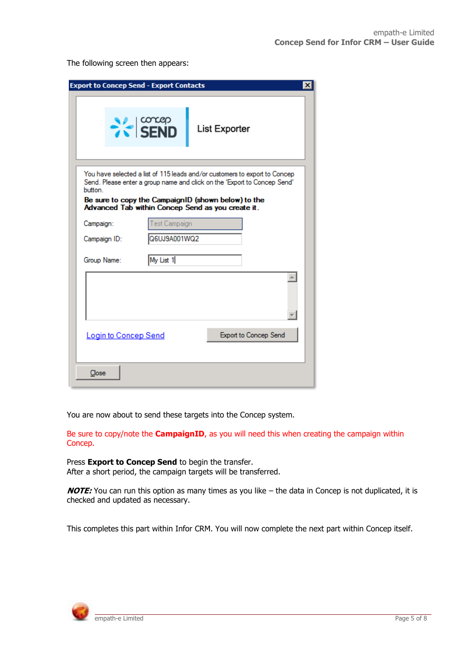The following screen then appears:

| <b>Export to Concep Send - Export Contacts</b> |                |                                                                                                                                                        |  |
|------------------------------------------------|----------------|--------------------------------------------------------------------------------------------------------------------------------------------------------|--|
|                                                | $\approx$ SEND | List Exporter                                                                                                                                          |  |
| button.                                        |                | You have selected a list of 115 leads and/or customers to export to Concep<br>Send. Please enter a group name and click on the 'Export to Concep Send' |  |
|                                                |                | Be sure to copy the CampaignID (shown below) to the<br>Advanced Tab within Concep Send as you create it.                                               |  |
| Campaign:                                      | Test Campaign  |                                                                                                                                                        |  |
| Campaign ID:                                   | Q6UJ9A001WQ2   |                                                                                                                                                        |  |
| Group Name:                                    | My List 1      |                                                                                                                                                        |  |
|                                                |                |                                                                                                                                                        |  |
| <b>Login to Concep Send</b>                    |                | Export to Concep Send                                                                                                                                  |  |
| Close                                          |                |                                                                                                                                                        |  |

You are now about to send these targets into the Concep system.

Be sure to copy/note the **CampaignID**, as you will need this when creating the campaign within Concep.

Press **Export to Concep Send** to begin the transfer. After a short period, the campaign targets will be transferred.

**NOTE:** You can run this option as many times as you like – the data in Concep is not duplicated, it is checked and updated as necessary.

This completes this part within Infor CRM. You will now complete the next part within Concep itself.

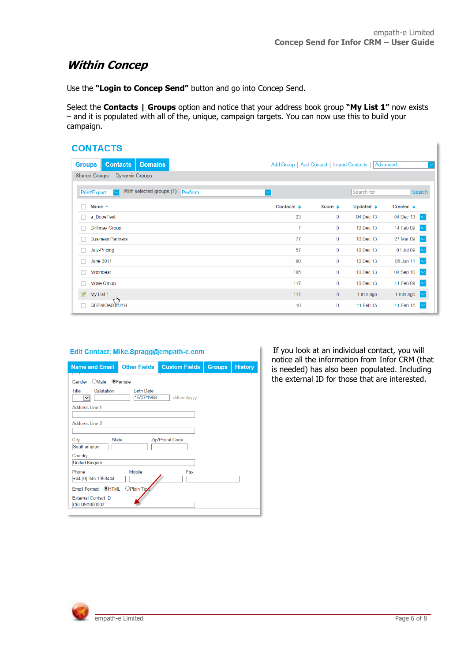#### <span id="page-5-0"></span>**Within Concep**

Use the **"Login to Concep Send"** button and go into Concep Send.

Select the **Contacts | Groups** option and notice that your address book group **"My List 1"** now exists – and it is populated with all of the, unique, campaign targets. You can now use this to build your campaign.

#### **CONTACTS**

| <b>Groups</b>    | <b>Contacts</b>                               | <b>Domains</b>                    |  | Add Group   Add Contact   Import Contacts |                   |                      | Advanced                       |  |  |  |
|------------------|-----------------------------------------------|-----------------------------------|--|-------------------------------------------|-------------------|----------------------|--------------------------------|--|--|--|
|                  | <b>Shared Groups</b><br><b>Dynamic Groups</b> |                                   |  |                                           |                   |                      |                                |  |  |  |
| Print/Export ~   |                                               | With selected groups (1): Perform |  | $\checkmark$                              |                   | Search for           | Search                         |  |  |  |
| Name $\triangle$ |                                               |                                   |  | Contacts $\div$                           | Score $\triangle$ | Updated $\triangleq$ | Created $\triangle$            |  |  |  |
|                  | a DupeTest                                    |                                   |  | 23                                        | 0                 | 04 Dec 13            | 04 Dec 13 $\vert \vee \vert$   |  |  |  |
|                  | <b>Birthday Group</b>                         |                                   |  | 1                                         | $\bf{0}$          | 10 Dec 13            | 14 Feb 09<br>lv                |  |  |  |
|                  | <b>Business Partners</b>                      |                                   |  | 77                                        | 0                 | 10 Dec 13            | 27 Mar 09<br>$\overline{\vee}$ |  |  |  |
|                  | July-Pricing                                  |                                   |  | 57                                        | $\mathbf{0}$      | 10 Dec 13            | 01 Jul 09<br>$\sim$            |  |  |  |
|                  | <b>June 2011</b>                              |                                   |  | 80                                        | $\mathbf{0}$      | 10 Dec 13            | 05 Jun 11                      |  |  |  |
|                  | Moonbear                                      |                                   |  | 185                                       | $\mathbf{0}$      | 10 Dec 13            | 04 Sep 10<br>$\sim$            |  |  |  |
|                  | Move Group                                    |                                   |  | 117                                       | 0                 | 10 Dec 13            | 11 Feb 09<br>$\sim$            |  |  |  |
| ✔<br>My List 1   | ୷                                             |                                   |  | 111                                       | $\bf{0}$          | 1 min ago            | 1 min ago<br>∣∨                |  |  |  |
|                  | QDEMOA000JYH                                  |                                   |  | 10                                        | 0                 | 11 Feb 15            | 11 Feb 15                      |  |  |  |

| <b>Name and Email</b>                                  | <b>Other Fields</b>             | <b>Custom Fields</b> | <b>Groups</b> | <b>History</b> |  |  |  |
|--------------------------------------------------------|---------------------------------|----------------------|---------------|----------------|--|--|--|
| OMale<br>Gender                                        | <b>OFemale</b>                  |                      |               |                |  |  |  |
| Title<br>Salutation<br>◡                               | <b>Birth Date</b><br>15/07/1968 | dd/mm/yyyy           |               |                |  |  |  |
| Address Line 1                                         |                                 |                      |               |                |  |  |  |
| Address Line 2                                         |                                 |                      |               |                |  |  |  |
| City<br><b>State</b><br>Zip/Postal Code<br>Southampton |                                 |                      |               |                |  |  |  |
| Country<br><b>United Kingom</b>                        |                                 |                      |               |                |  |  |  |
| Phone<br>+44 (0) 845 1358444                           | Mobile                          | Fax                  |               |                |  |  |  |
| Email Format <sup>@</sup> HTML                         | Plain Tex                       |                      |               |                |  |  |  |
| <b>External Contact ID</b><br>C6UJ9A000002             |                                 |                      |               |                |  |  |  |

If you look at an individual contact, you will notice all the information from Infor CRM (that is needed) has also been populated. Including the external ID for those that are interested.

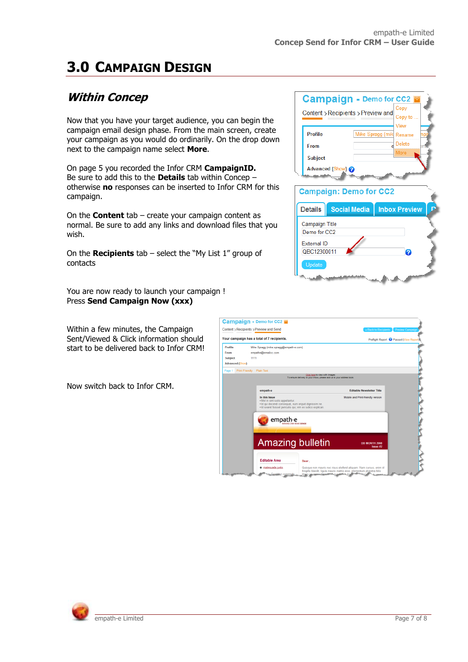# <span id="page-6-0"></span>**3.0 CAMPAIGN DESIGN**

### <span id="page-6-1"></span>**Within Concep**

Now that you have your target audience, you can begin the campaign email design phase. From the main screen, create your campaign as you would do ordinarily. On the drop down next to the campaign name select **More**.

On page 5 you recorded the Infor CRM **CampaignID.** Be sure to add this to the **Details** tab within Concep – otherwise **no** responses can be inserted to Infor CRM for this campaign.

On the **Content** tab – create your campaign content as normal. Be sure to add any links and download files that you wish.

On the **Recipients** tab – select the "My List 1" group of contacts

You are now ready to launch your campaign ! Press **Send Campaign Now (xxx)**

Within a few minutes, the Campaign Sent/Viewed & Click information should start to be delivered back to Infor CRM!

Now switch back to Infor CRM.